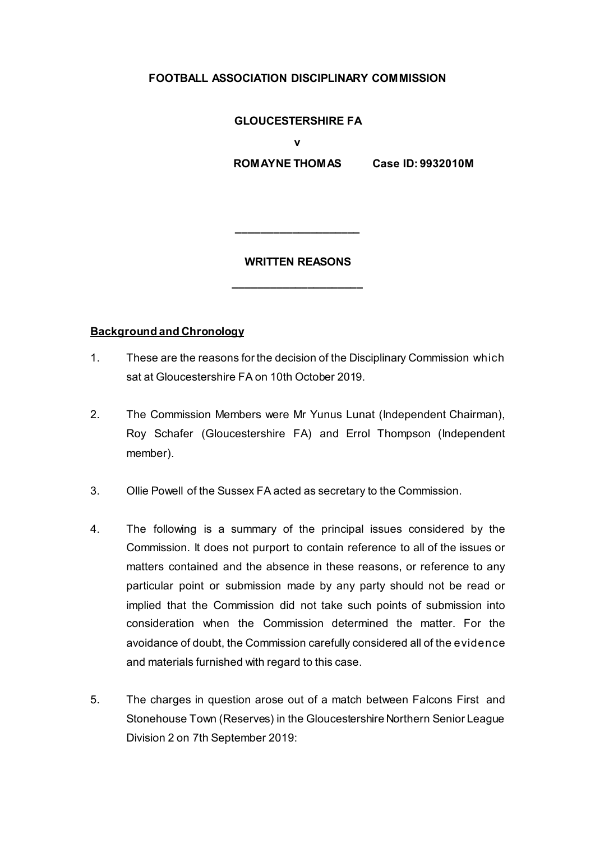## **FOOTBALL ASSOCIATION DISCIPLINARY COMMISSION**

#### **GLOUCESTERSHIRE FA**

**v** 

 **ROMAYNE THOMAS Case ID: 9932010M**

#### **WRITTEN REASONS**

**\_\_\_\_\_\_\_\_\_\_\_\_\_\_\_\_\_\_\_\_\_**

**\_\_\_\_\_\_\_\_\_\_\_\_\_\_\_\_\_\_\_\_**

### **Background and Chronology**

- 1. These are the reasons for the decision of the Disciplinary Commission which sat at Gloucestershire FA on 10th October 2019.
- 2. The Commission Members were Mr Yunus Lunat (Independent Chairman), Roy Schafer (Gloucestershire FA) and Errol Thompson (Independent member).
- 3. Ollie Powell of the Sussex FA acted as secretary to the Commission.
- 4. The following is a summary of the principal issues considered by the Commission. It does not purport to contain reference to all of the issues or matters contained and the absence in these reasons, or reference to any particular point or submission made by any party should not be read or implied that the Commission did not take such points of submission into consideration when the Commission determined the matter. For the avoidance of doubt, the Commission carefully considered all of the evidence and materials furnished with regard to this case.
- 5. The charges in question arose out of a match between Falcons First and Stonehouse Town (Reserves) in the Gloucestershire Northern Senior League Division 2 on 7th September 2019: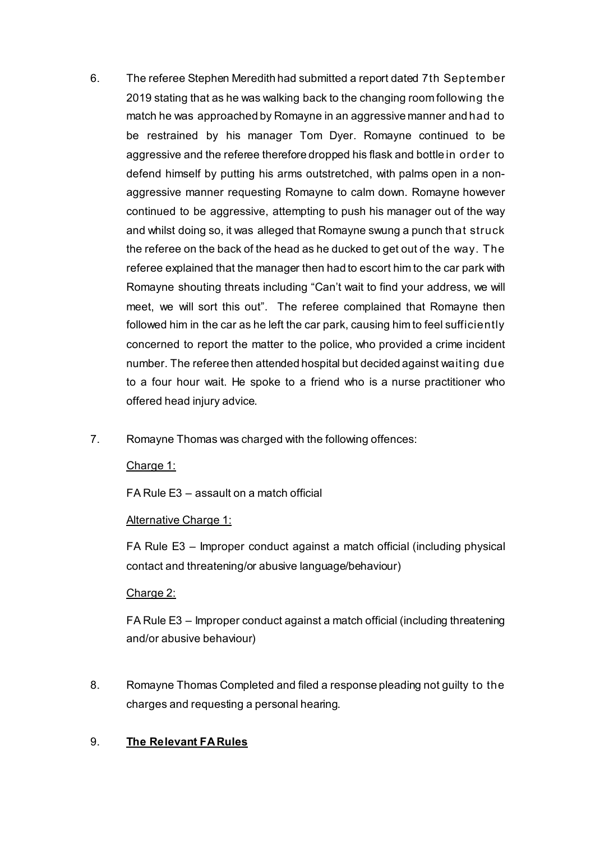- 6. The referee Stephen Meredith had submitted a report dated 7th September 2019 stating that as he was walking back to the changing room following the match he was approached by Romayne in an aggressive manner and had to be restrained by his manager Tom Dyer. Romayne continued to be aggressive and the referee therefore dropped his flask and bottle in order to defend himself by putting his arms outstretched, with palms open in a nonaggressive manner requesting Romayne to calm down. Romayne however continued to be aggressive, attempting to push his manager out of the way and whilst doing so, it was alleged that Romayne swung a punch that struck the referee on the back of the head as he ducked to get out of the way. The referee explained that the manager then had to escort him to the car park with Romayne shouting threats including "Can't wait to find your address, we will meet, we will sort this out". The referee complained that Romayne then followed him in the car as he left the car park, causing him to feel sufficiently concerned to report the matter to the police, who provided a crime incident number. The referee then attended hospital but decided against waiting due to a four hour wait. He spoke to a friend who is a nurse practitioner who offered head injury advice.
- 7. Romayne Thomas was charged with the following offences:

Charge 1:

FA Rule E3 – assault on a match official

### Alternative Charge 1:

FA Rule E3 – Improper conduct against a match official (including physical contact and threatening/or abusive language/behaviour)

# Charge 2:

FA Rule E3 – Improper conduct against a match official (including threatening and/or abusive behaviour)

8. Romayne Thomas Completed and filed a response pleading not guilty to the charges and requesting a personal hearing.

# 9. **The Relevant FA Rules**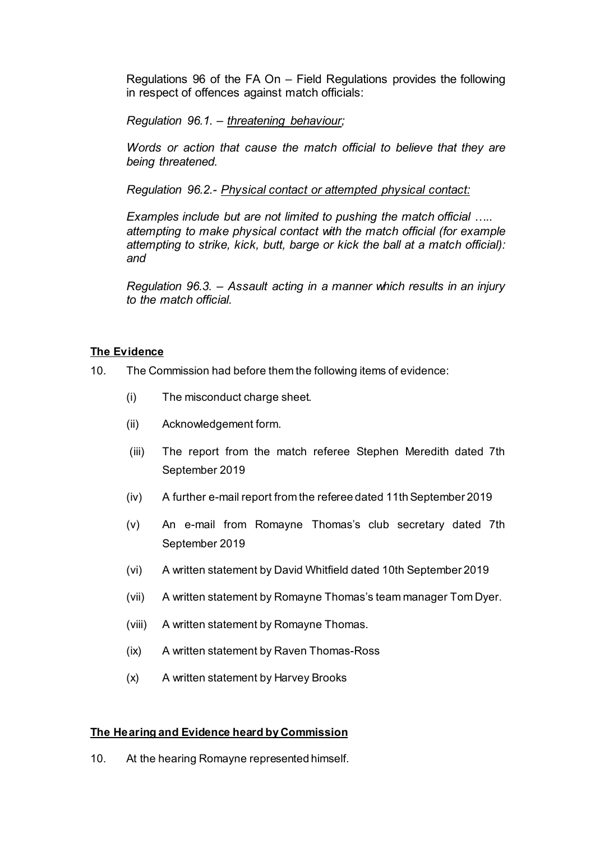Regulations 96 of the FA On – Field Regulations provides the following in respect of offences against match officials:

*Regulation 96.1. – threatening behaviour;*

*Words or action that cause the match official to believe that they are being threatened.* 

*Regulation 96.2.- Physical contact or attempted physical contact:*

*Examples include but are not limited to pushing the match official ….. attempting to make physical contact with the match official (for example attempting to strike, kick, butt, barge or kick the ball at a match official): and*

*Regulation 96.3. – Assault acting in a manner which results in an injury to the match official.*

## **The Evidence**

- 10. The Commission had before them the following items of evidence:
	- (i) The misconduct charge sheet.
	- (ii) Acknowledgement form.
	- (iii) The report from the match referee Stephen Meredith dated 7th September 2019
	- (iv) A further e-mail report from the referee dated 11th September 2019
	- (v) An e-mail from Romayne Thomas's club secretary dated 7th September 2019
	- (vi) A written statement by David Whitfield dated 10th September 2019
	- (vii) A written statement by Romayne Thomas's team manager Tom Dyer.
	- (viii) A written statement by Romayne Thomas.
	- (ix) A written statement by Raven Thomas-Ross
	- (x) A written statement by Harvey Brooks

### **The Hearing and Evidence heard by Commission**

10. At the hearing Romayne represented himself.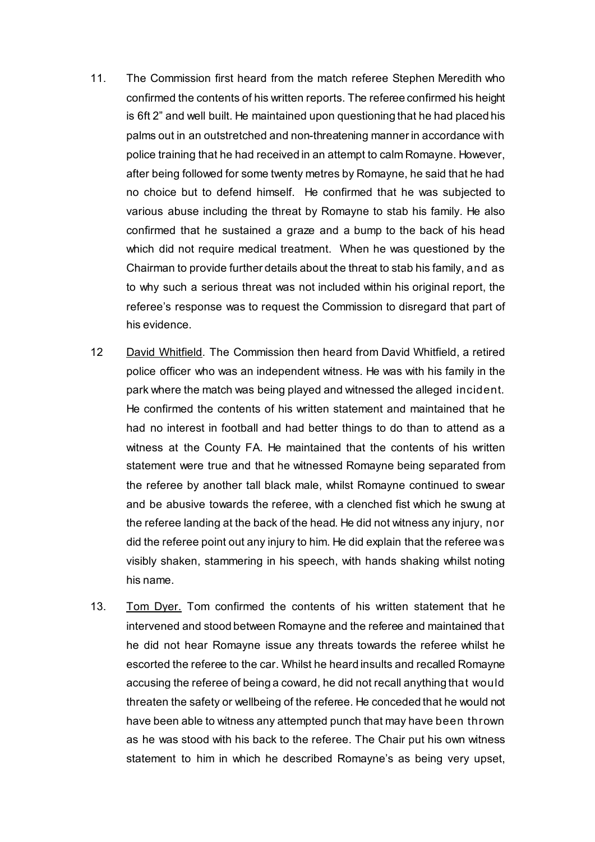- 11. The Commission first heard from the match referee Stephen Meredith who confirmed the contents of his written reports. The referee confirmed his height is 6ft 2" and well built. He maintained upon questioning that he had placed his palms out in an outstretched and non-threatening manner in accordance with police training that he had received in an attempt to calm Romayne. However, after being followed for some twenty metres by Romayne, he said that he had no choice but to defend himself. He confirmed that he was subjected to various abuse including the threat by Romayne to stab his family. He also confirmed that he sustained a graze and a bump to the back of his head which did not require medical treatment. When he was questioned by the Chairman to provide further details about the threat to stab his family, and as to why such a serious threat was not included within his original report, the referee's response was to request the Commission to disregard that part of his evidence.
- 12 David Whitfield. The Commission then heard from David Whitfield, a retired police officer who was an independent witness. He was with his family in the park where the match was being played and witnessed the alleged incident. He confirmed the contents of his written statement and maintained that he had no interest in football and had better things to do than to attend as a witness at the County FA. He maintained that the contents of his written statement were true and that he witnessed Romayne being separated from the referee by another tall black male, whilst Romayne continued to swear and be abusive towards the referee, with a clenched fist which he swung at the referee landing at the back of the head. He did not witness any injury, nor did the referee point out any injury to him. He did explain that the referee was visibly shaken, stammering in his speech, with hands shaking whilst noting his name.
- 13. Tom Dyer. Tom confirmed the contents of his written statement that he intervened and stood between Romayne and the referee and maintained that he did not hear Romayne issue any threats towards the referee whilst he escorted the referee to the car. Whilst he heard insults and recalled Romayne accusing the referee of being a coward, he did not recall anything that would threaten the safety or wellbeing of the referee. He conceded that he would not have been able to witness any attempted punch that may have been thrown as he was stood with his back to the referee. The Chair put his own witness statement to him in which he described Romayne's as being very upset,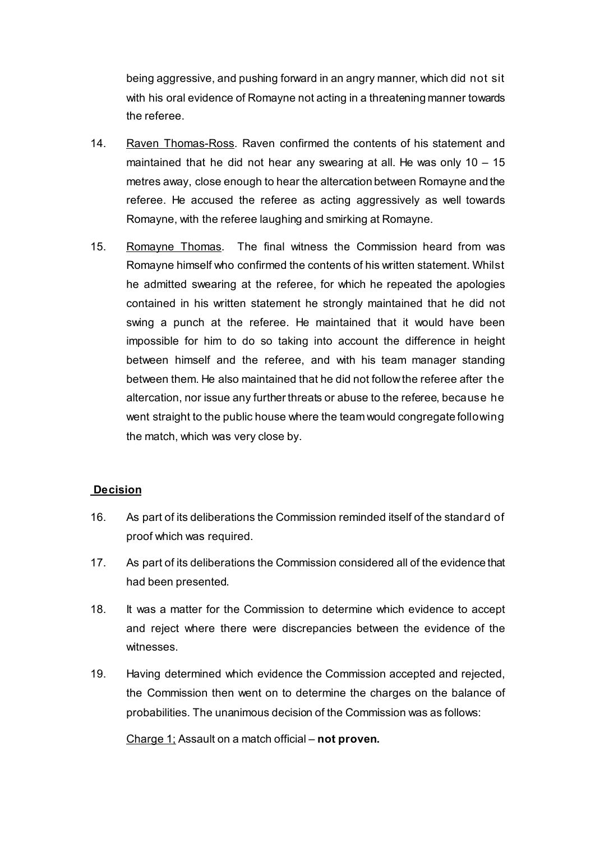being aggressive, and pushing forward in an angry manner, which did not sit with his oral evidence of Romayne not acting in a threatening manner towards the referee.

- 14. Raven Thomas-Ross. Raven confirmed the contents of his statement and maintained that he did not hear any swearing at all. He was only  $10 - 15$ metres away, close enough to hear the altercation between Romayne and the referee. He accused the referee as acting aggressively as well towards Romayne, with the referee laughing and smirking at Romayne.
- 15. Romayne Thomas. The final witness the Commission heard from was Romayne himself who confirmed the contents of his written statement. Whilst he admitted swearing at the referee, for which he repeated the apologies contained in his written statement he strongly maintained that he did not swing a punch at the referee. He maintained that it would have been impossible for him to do so taking into account the difference in height between himself and the referee, and with his team manager standing between them. He also maintained that he did not follow the referee after the altercation, nor issue any further threats or abuse to the referee, because he went straight to the public house where the team would congregate following the match, which was very close by.

# **Decision**

- 16. As part of its deliberations the Commission reminded itself of the standard of proof which was required.
- 17. As part of its deliberations the Commission considered all of the evidence that had been presented.
- 18. It was a matter for the Commission to determine which evidence to accept and reject where there were discrepancies between the evidence of the witnesses.
- 19. Having determined which evidence the Commission accepted and rejected, the Commission then went on to determine the charges on the balance of probabilities. The unanimous decision of the Commission was as follows:

Charge 1; Assault on a match official – **not proven.**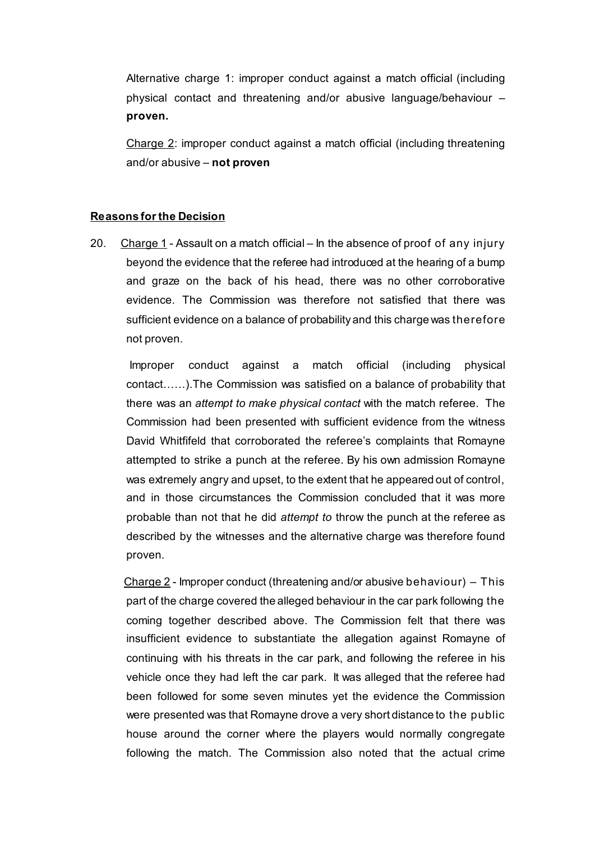Alternative charge 1: improper conduct against a match official (including physical contact and threatening and/or abusive language/behaviour – **proven.**

Charge 2: improper conduct against a match official (including threatening and/or abusive – **not proven**

#### **Reasons for the Decision**

20. Charge 1 - Assault on a match official – In the absence of proof of any injury beyond the evidence that the referee had introduced at the hearing of a bump and graze on the back of his head, there was no other corroborative evidence. The Commission was therefore not satisfied that there was sufficient evidence on a balance of probability and this charge was therefore not proven.

 Improper conduct against a match official (including physical contact……).The Commission was satisfied on a balance of probability that there was an *attempt to make physical contact* with the match referee. The Commission had been presented with sufficient evidence from the witness David Whitfifeld that corroborated the referee's complaints that Romayne attempted to strike a punch at the referee. By his own admission Romayne was extremely angry and upset, to the extent that he appeared out of control, and in those circumstances the Commission concluded that it was more probable than not that he did *attempt to* throw the punch at the referee as described by the witnesses and the alternative charge was therefore found proven.

Charge  $2$  - Improper conduct (threatening and/or abusive behaviour) – This part of the charge covered the alleged behaviour in the car park following the coming together described above. The Commission felt that there was insufficient evidence to substantiate the allegation against Romayne of continuing with his threats in the car park, and following the referee in his vehicle once they had left the car park. It was alleged that the referee had been followed for some seven minutes yet the evidence the Commission were presented was that Romayne drove a very short distance to the public house around the corner where the players would normally congregate following the match. The Commission also noted that the actual crime